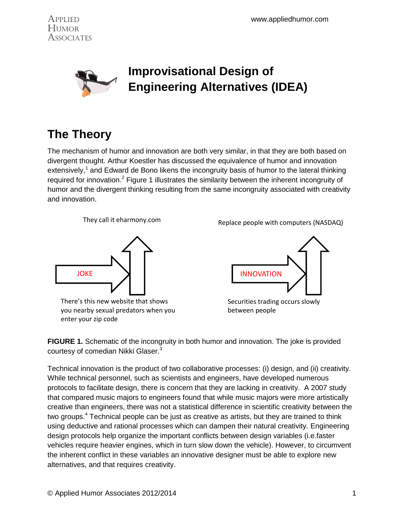



# **The Theory**

The mechanism of humor and innovation are both very similar, in that they are both based on divergent thought. Arthur Koestler has discussed the equivalence of humor and innovation extensively,<sup>1</sup> and Edward de Bono likens the incongruity basis of humor to the lateral thinking required for innovation.<sup>2</sup> Figure 1 illustrates the similarity between the inherent incongruity of humor and the divergent thinking resulting from the same incongruity associated with creativity and innovation.



There's this new website that shows you nearby sexual predators when you enter your zip code

Replace people with computers (NASDAQ) They call it eharmony.com



Securities trading occurs slowly between people

**FIGURE 1.** Schematic of the incongruity in both humor and innovation. The joke is provided courtesy of comedian Nikki Glaser.<sup>3</sup>

Technical innovation is the product of two collaborative processes: (i) design, and (ii) creativity. While technical personnel, such as scientists and engineers, have developed numerous protocols to facilitate design, there is concern that they are lacking in creativity. A 2007 study that compared music majors to engineers found that while music majors were more artistically creative than engineers, there was not a statistical difference in scientific creativity between the two groups.<sup>4</sup> Technical people can be just as creative as artists, but they are trained to think using deductive and rational processes which can dampen their natural creativity. Engineering design protocols help organize the important conflicts between design variables (i.e.faster vehicles require heavier engines, which in turn slow down the vehicle). However, to circumvent the inherent conflict in these variables an innovative designer must be able to explore new alternatives, and that requires creativity.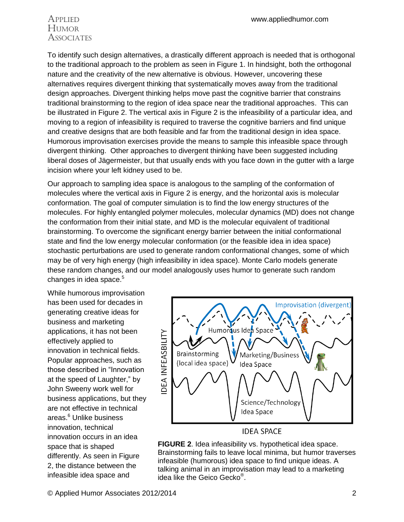## Applied Humor **Associates**

To identify such design alternatives, a drastically different approach is needed that is orthogonal to the traditional approach to the problem as seen in Figure 1. In hindsight, both the orthogonal nature and the creativity of the new alternative is obvious. However, uncovering these alternatives requires divergent thinking that systematically moves away from the traditional design approaches. Divergent thinking helps move past the cognitive barrier that constrains traditional brainstorming to the region of idea space near the traditional approaches. This can be illustrated in Figure 2. The vertical axis in Figure 2 is the infeasibility of a particular idea, and moving to a region of infeasibility is required to traverse the cognitive barriers and find unique and creative designs that are both feasible and far from the traditional design in idea space. Humorous improvisation exercises provide the means to sample this infeasible space through divergent thinking. Other approaches to divergent thinking have been suggested including liberal doses of Jägermeister, but that usually ends with you face down in the gutter with a large incision where your left kidney used to be.

Our approach to sampling idea space is analogous to the sampling of the conformation of molecules where the vertical axis in Figure 2 is energy, and the horizontal axis is molecular conformation. The goal of computer simulation is to find the low energy structures of the molecules. For highly entangled polymer molecules, molecular dynamics (MD) does not change the conformation from their initial state, and MD is the molecular equivalent of traditional brainstorming. To overcome the significant energy barrier between the initial conformational state and find the low energy molecular conformation (or the feasible idea in idea space) stochastic perturbations are used to generate random conformational changes, some of which may be of very high energy (high infeasibility in idea space). Monte Carlo models generate these random changes, and our model analogously uses humor to generate such random changes in idea space.<sup>5</sup>

While humorous improvisation has been used for decades in generating creative ideas for business and marketing applications, it has not been effectively applied to innovation in technical fields. Popular approaches, such as those described in "Innovation at the speed of Laughter," by John Sweeny work well for business applications, but they are not effective in technical areas.<sup>6</sup> Unlike business innovation, technical innovation occurs in an idea space that is shaped differently. As seen in Figure 2, the distance between the infeasible idea space and



**IDEA SPACE** 

**FIGURE 2**. Idea infeasibility vs. hypothetical idea space. Brainstorming fails to leave local minima, but humor traverses infeasible (humorous) idea space to find unique ideas. A talking animal in an improvisation may lead to a marketing idea like the Geico Gecko® .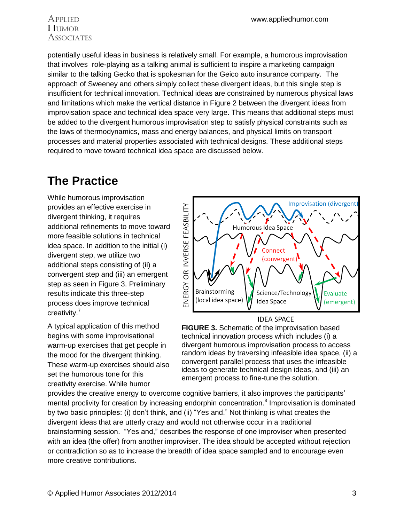### Applied Humor **ASSOCIATES**

potentially useful ideas in business is relatively small. For example, a humorous improvisation that involves role-playing as a talking animal is sufficient to inspire a marketing campaign similar to the talking Gecko that is spokesman for the Geico auto insurance company. The approach of Sweeney and others simply collect these divergent ideas, but this single step is insufficient for technical innovation. Technical ideas are constrained by numerous physical laws and limitations which make the vertical distance in Figure 2 between the divergent ideas from improvisation space and technical idea space very large. This means that additional steps must be added to the divergent humorous improvisation step to satisfy physical constraints such as the laws of thermodynamics, mass and energy balances, and physical limits on transport processes and material properties associated with technical designs. These additional steps required to move toward technical idea space are discussed below.

# **The Practice**

While humorous improvisation provides an effective exercise in divergent thinking, it requires additional refinements to move toward more feasible solutions in technical idea space. In addition to the initial (i) divergent step, we utilize two additional steps consisting of (ii) a convergent step and (iii) an emergent step as seen in Figure 3. Preliminary results indicate this three-step process does improve technical creativity.<sup>7</sup>

<span id="page-2-0"></span>A typical application of this method begins with some improvisational warm-up exercises that get people in the mood for the divergent thinking. These warm-up exercises should also set the humorous tone for this creativity exercise. While humor



**IDEA SPACE** 

**FIGURE 3.** Schematic of the improvisation based technical innovation process which includes (i) a divergent humorous improvisation process to access random ideas by traversing infeasible idea space, (ii) a convergent parallel process that uses the infeasible ideas to generate technical design ideas, and (iii) an emergent process to fine-tune the solution.

provides the creative energy to overcome cognitive barriers, it also improves the participants' mental proclivity for creation by increasing endorphin concentration.<sup>8</sup> Improvisation is dominated by two basic principles: (i) don't think, and (ii) "Yes and." Not thinking is what creates the divergent ideas that are utterly crazy and would not otherwise occur in a traditional brainstorming session. "Yes and," describes the response of one improviser when presented with an idea (the offer) from another improviser. The idea should be accepted without rejection or contradiction so as to increase the breadth of idea space sampled and to encourage even more creative contributions.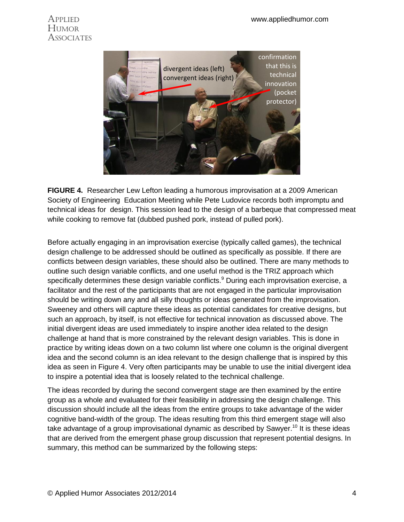### **Applied** Humor **ASSOCIATES**



**FIGURE 4.** Researcher Lew Lefton leading a humorous improvisation at a 2009 American Society of Engineering Education Meeting while Pete Ludovice records both impromptu and technical ideas for design. This session lead to the design of a barbeque that compressed meat while cooking to remove fat (dubbed pushed pork, instead of pulled pork).

Before actually engaging in an improvisation exercise (typically called games), the technical design challenge to be addressed should be outlined as specifically as possible. If there are conflicts between design variables, these should also be outlined. There are many methods to outline such design variable conflicts, and one useful method is the TRIZ approach which specifically determines these design variable conflicts.<sup>9</sup> During each improvisation exercise, a facilitator and the rest of the participants that are not engaged in the particular improvisation should be writing down any and all silly thoughts or ideas generated from the improvisation. Sweeney and others will capture these ideas as potential candidates for creative designs, but such an approach, by itself, is not effective for technical innovation as discussed above. The initial divergent ideas are used immediately to inspire another idea related to the design challenge at hand that is more constrained by the relevant design variables. This is done in practice by writing ideas down on a two column list where one column is the original divergent idea and the second column is an idea relevant to the design challenge that is inspired by this idea as seen in Figure 4. Very often participants may be unable to use the initial divergent idea to inspire a potential idea that is loosely related to the technical challenge.

The ideas recorded by during the second convergent stage are then examined by the entire group as a whole and evaluated for their feasibility in addressing the design challenge. This discussion should include all the ideas from the entire groups to take advantage of the wider cognitive band-width of the group. The ideas resulting from this third emergent stage will also take advantage of a group improvisational dynamic as described by Sawyer.<sup>10</sup> It is these ideas that are derived from the emergent phase group discussion that represent potential designs. In summary, this method can be summarized by the following steps: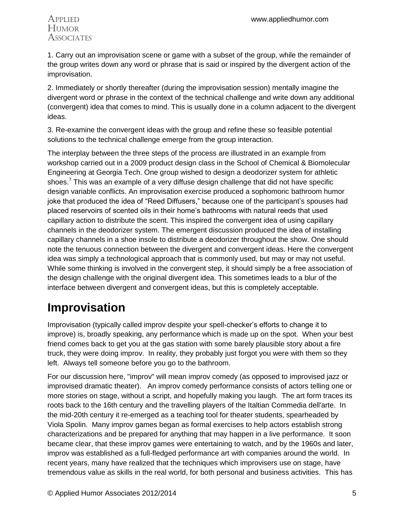### Applied Humor **Associates**

1. Carry out an improvisation scene or game with a subset of the group, while the remainder of the group writes down any word or phrase that is said or inspired by the divergent action of the improvisation.

2. Immediately or shortly thereafter (during the improvisation session) mentally imagine the divergent word or phrase in the context of the technical challenge and write down any additional (convergent) idea that comes to mind. This is usually done in a column adjacent to the divergent ideas.

3. Re-examine the convergent ideas with the group and refine these so feasible potential solutions to the technical challenge emerge from the group interaction.

The interplay between the three steps of the process are illustrated in an example from workshop carried out in a 2009 product design class in the School of Chemical & Biomolecular Engineering at Georgia Tech. One group wished to design a deodorizer system for athletic shoes[.](#page-2-0)<sup>7</sup> This was an example of a very diffuse design challenge that did not have specific design variable conflicts. An improvisation exercise produced a sophomoric bathroom humor joke that produced the idea of "Reed Diffusers," because one of the participant's spouses had placed reservoirs of scented oils in their home's bathrooms with natural reeds that used capillary action to distribute the scent. This inspired the convergent idea of using capillary channels in the deodorizer system. The emergent discussion produced the idea of installing capillary channels in a shoe insole to distribute a deodorizer throughout the show. One should note the tenuous connection between the divergent and convergent ideas. Here the convergent idea was simply a technological approach that is commonly used, but may or may not useful. While some thinking is involved in the convergent step, it should simply be a free association of the design challenge with the original divergent idea. This sometimes leads to a blur of the interface between divergent and convergent ideas, but this is completely acceptable.

# **Improvisation**

Improvisation (typically called improv despite your spell-checker's efforts to change it to improve) is, broadly speaking, any performance which is made up on the spot. When your best friend comes back to get you at the gas station with some barely plausible story about a fire truck, they were doing improv. In reality, they probably just forgot you were with them so they left. Always tell someone before you go to the bathroom.

For our discussion here, "improv" will mean improv comedy (as opposed to improvised jazz or improvised dramatic theater). An improv comedy performance consists of actors telling one or more stories on stage, without a script, and hopefully making you laugh. The art form traces its roots back to the 16th century and the travelling players of the Italtian Commedia dell'arte. In the mid-20th century it re-emerged as a teaching tool for theater students, spearheaded by Viola Spolin. Many improv games began as formal exercises to help actors establish strong characterizations and be prepared for anything that may happen in a live performance. It soon became clear, that these improv games were entertaining to watch, and by the 1960s and later, improv was established as a full-fledged performance art with companies around the world. In recent years, many have realized that the techniques which improvisers use on stage, have tremendous value as skills in the real world, for both personal and business activities. This has